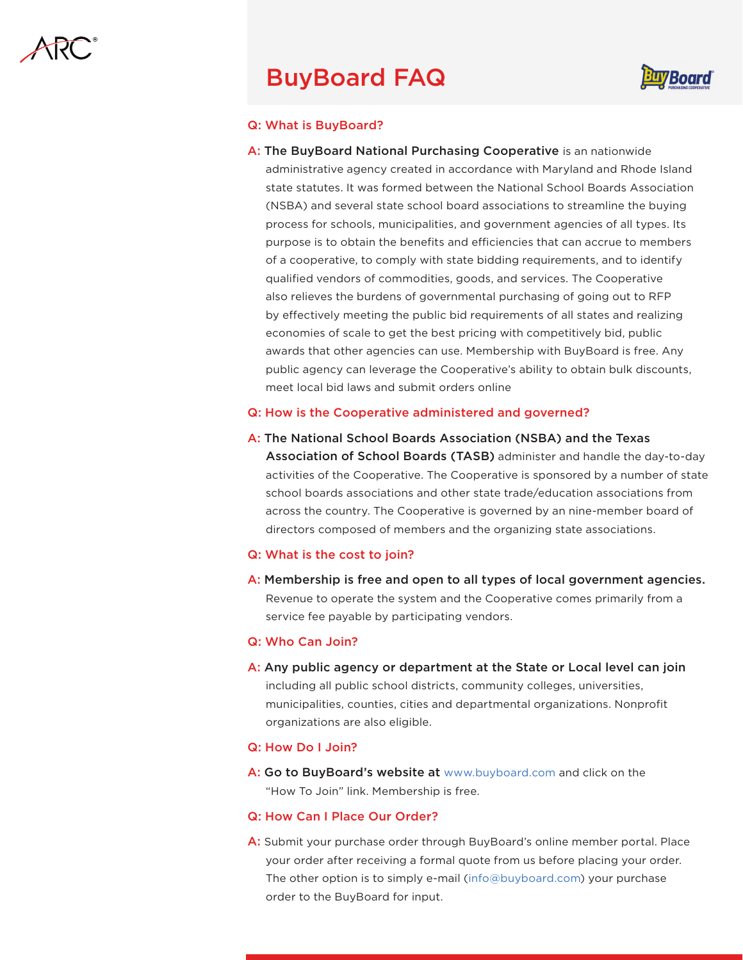# BuyBoard FAQ



#### Q: What is BuyBoard?

A: The BuyBoard National Purchasing Cooperative is an nationwide administrative agency created in accordance with Maryland and Rhode Island state statutes. It was formed between the National School Boards Association (NSBA) and several state school board associations to streamline the buying process for schools, municipalities, and government agencies of all types. Its purpose is to obtain the benefits and efficiencies that can accrue to members of a cooperative, to comply with state bidding requirements, and to identify qualified vendors of commodities, goods, and services. The Cooperative also relieves the burdens of governmental purchasing of going out to RFP by effectively meeting the public bid requirements of all states and realizing economies of scale to get the best pricing with competitively bid, public awards that other agencies can use. Membership with BuyBoard is free. Any public agency can leverage the Cooperative's ability to obtain bulk discounts, meet local bid laws and submit orders online

## Q: How is the Cooperative administered and governed?

A: The National School Boards Association (NSBA) and the Texas Association of School Boards (TASB) administer and handle the day-to-day activities of the Cooperative. The Cooperative is sponsored by a number of state school boards associations and other state trade/education associations from across the country. The Cooperative is governed by an nine-member board of directors composed of members and the organizing state associations.

## Q: What is the cost to join?

A: Membership is free and open to all types of local government agencies. Revenue to operate the system and the Cooperative comes primarily from a service fee payable by participating vendors.

#### Q: Who Can Join?

A: Any public agency or department at the State or Local level can join including all public school districts, community colleges, universities, municipalities, counties, cities and departmental organizations. Nonprofit organizations are also eligible.

#### Q: How Do I Join?

A: Go to BuyBoard's website at www.buyboard.com and click on the "How To Join" link. Membership is free.

## Q: How Can I Place Our Order?

A: Submit your purchase order through BuyBoard's online member portal. Place your order after receiving a formal quote from us before placing your order. The other option is to simply e-mail (info@buyboard.com) your purchase order to the BuyBoard for input.